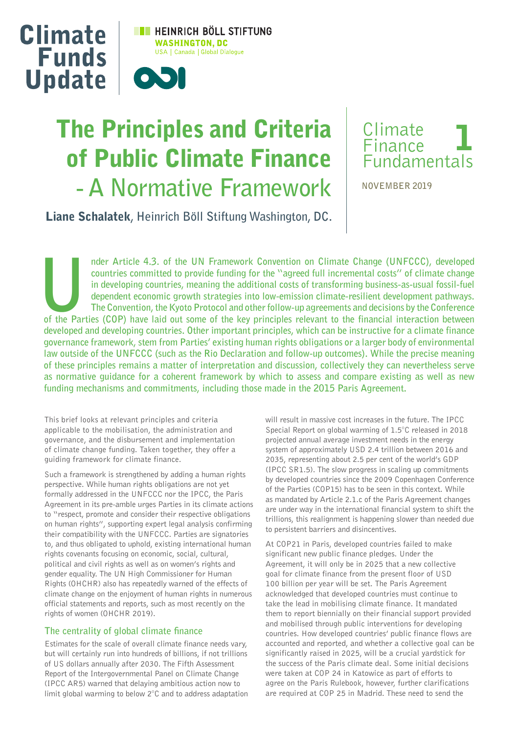

# The Principles and Criteria of Public Climate Finance **- A Normative Framework**

## Climate Finance Fundamentals 1

**NOVEMBER 2019**

Liane Schalatek**, Heinrich Böll Stiftung Washington, DC.**

nder Article 4.3. of the UN Framework Convention on Climate Change (UNFCCC), developed countries committed to provide funding for the "agreed full incremental costs" of climate change in developing countries, meaning the a **countries committed to provide funding for the "agreed full incremental costs" of climate change in developing countries, meaning the additional costs of transforming business-as-usual fossil-fuel dependent economic growth strategies into low-emission climate-resilient development pathways. The Convention, the Kyoto Protocol and other follow-up agreements and decisions by the Conference developed and developing countries. Other important principles, which can be instructive for a climate finance governance framework, stem from Parties' existing human rights obligations or a larger body of environmental law outside of the UNFCCC (such as the Rio Declaration and follow-up outcomes). While the precise meaning of these principles remains a matter of interpretation and discussion, collectively they can nevertheless serve as normative guidance for a coherent framework by which to assess and compare existing as well as new funding mechanisms and commitments, including those made in the 2015 Paris Agreement.**

This brief looks at relevant principles and criteria applicable to the mobilisation, the administration and governance, and the disbursement and implementation of climate change funding. Taken together, they offer a guiding framework for climate finance.

Such a framework is strengthened by adding a human rights perspective. While human rights obligations are not yet formally addressed in the UNFCCC nor the IPCC, the Paris Agreement in its pre-amble urges Parties in its climate actions to "respect, promote and consider their respective obligations on human rights", supporting expert legal analysis confirming their compatibility with the UNFCCC. Parties are signatories to, and thus obligated to uphold, existing international human rights covenants focusing on economic, social, cultural, political and civil rights as well as on women's rights and gender equality. The UN High Commissioner for Human Rights (OHCHR) also has repeatedly warned of the effects of climate change on the enjoyment of human rights in numerous official statements and reports, such as most recently on the rights of women (OHCHR 2019).

#### **The centrality of global climate finance**

Estimates for the scale of overall climate finance needs vary, but will certainly run into hundreds of billions, if not trillions of US dollars annually after 2030. The Fifth Assessment Report of the Intergovernmental Panel on Climate Change (IPCC AR5) warned that delaying ambitious action now to limit global warming to below 2°C and to address adaptation will result in massive cost increases in the future. The IPCC Special Report on global warming of 1.5°C released in 2018 projected annual average investment needs in the energy system of approximately USD 2.4 trillion between 2016 and 2035, representing about 2.5 per cent of the world's GDP (IPCC SR1.5). The slow progress in scaling up commitments by developed countries since the 2009 Copenhagen Conference of the Parties (COP15) has to be seen in this context. While as mandated by Article 2.1.c of the Paris Agreement changes are under way in the international financial system to shift the trillions, this realignment is happening slower than needed due to persistent barriers and disincentives.

At COP21 in Paris, developed countries failed to make significant new public finance pledges. Under the Agreement, it will only be in 2025 that a new collective goal for climate finance from the present floor of USD 100 billion per year will be set. The Paris Agreement acknowledged that developed countries must continue to take the lead in mobilising climate finance. It mandated them to report biennially on their financial support provided and mobilised through public interventions for developing countries. How developed countries' public finance flows are accounted and reported, and whether a collective goal can be significantly raised in 2025, will be a crucial yardstick for the success of the Paris climate deal. Some initial decisions were taken at COP 24 in Katowice as part of efforts to agree on the Paris Rulebook, however, further clarifications are required at COP 25 in Madrid. These need to send the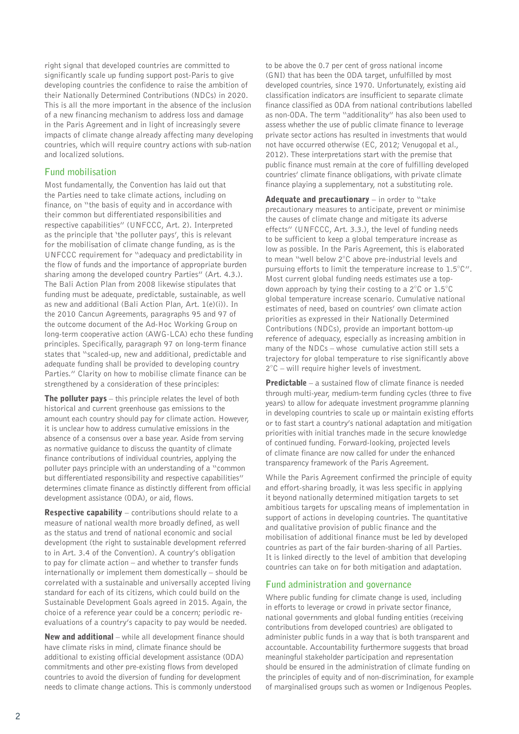right signal that developed countries are committed to significantly scale up funding support post-Paris to give developing countries the confidence to raise the ambition of their Nationally Determined Contributions (NDCs) in 2020. This is all the more important in the absence of the inclusion of a new financing mechanism to address loss and damage in the Paris Agreement and in light of increasingly severe impacts of climate change already affecting many developing countries, which will require country actions with sub-nation and localized solutions.

### **Fund mobilisation**

Most fundamentally, the Convention has laid out that the Parties need to take climate actions, including on finance, on "the basis of equity and in accordance with their common but differentiated responsibilities and respective capabilities" (UNFCCC, Art. 2). Interpreted as the principle that 'the polluter pays', this is relevant for the mobilisation of climate change funding, as is the UNFCCC requirement for "adequacy and predictability in the flow of funds and the importance of appropriate burden sharing among the developed country Parties" (Art. 4.3.). The Bali Action Plan from 2008 likewise stipulates that funding must be adequate, predictable, sustainable, as well as new and additional (Bali Action Plan, Art. 1(e)(i)). In the 2010 Cancun Agreements, paragraphs 95 and 97 of the outcome document of the Ad-Hoc Working Group on long-term cooperative action (AWG-LCA) echo these funding principles. Specifically, paragraph 97 on long-term finance states that "scaled-up, new and additional, predictable and adequate funding shall be provided to developing country Parties." Clarity on how to mobilise climate finance can be strengthened by a consideration of these principles:

**The polluter pays**  $-$  this principle relates the level of both historical and current greenhouse gas emissions to the amount each country should pay for climate action. However, it is unclear how to address cumulative emissions in the absence of a consensus over a base year. Aside from serving as normative guidance to discuss the quantity of climate finance contributions of individual countries, applying the polluter pays principle with an understanding of a "common but differentiated responsibility and respective capabilities" determines climate finance as distinctly different from official development assistance (ODA), or aid, flows.

**Respective capability** – contributions should relate to a measure of national wealth more broadly defined, as well as the status and trend of national economic and social development (the right to sustainable development referred to in Art. 3.4 of the Convention). A country's obligation to pay for climate action – and whether to transfer funds internationally or implement them domestically – should be correlated with a sustainable and universally accepted living standard for each of its citizens, which could build on the Sustainable Development Goals agreed in 2015. Again, the choice of a reference year could be a concern; periodic reevaluations of a country's capacity to pay would be needed.

New and additional – while all development finance should have climate risks in mind, climate finance should be additional to existing official development assistance (ODA) commitments and other pre-existing flows from developed countries to avoid the diversion of funding for development needs to climate change actions. This is commonly understood to be above the 0.7 per cent of gross national income (GNI) that has been the ODA target, unfulfilled by most developed countries, since 1970. Unfortunately, existing aid classification indicators are insufficient to separate climate finance classified as ODA from national contributions labelled as non-ODA. The term "additionality" has also been used to assess whether the use of public climate finance to leverage private sector actions has resulted in investments that would not have occurred otherwise (EC, 2012; Venugopal et al., 2012). These interpretations start with the premise that public finance must remain at the core of fulfilling developed countries' climate finance obligations, with private climate finance playing a supplementary, not a substituting role.

Adequate and precautionary  $-$  in order to "take precautionary measures to anticipate, prevent or minimise the causes of climate change and mitigate its adverse effects" (UNFCCC, Art. 3.3.), the level of funding needs to be sufficient to keep a global temperature increase as low as possible. In the Paris Agreement, this is elaborated to mean "well below 2°C above pre-industrial levels and pursuing efforts to limit the temperature increase to 1.5°C". Most current global funding needs estimates use a topdown approach by tying their costing to a 2°C or 1.5°C global temperature increase scenario. Cumulative national estimates of need, based on countries' own climate action priorities as expressed in their Nationally Determined Contributions (NDCs), provide an important bottom-up reference of adequacy, especially as increasing ambition in many of the NDCs – whose cumulative action still sets a trajectory for global temperature to rise significantly above 2°C – will require higher levels of investment.

**Predictable** – a sustained flow of climate finance is needed through multi-year, medium-term funding cycles (three to five years) to allow for adequate investment programme planning in developing countries to scale up or maintain existing efforts or to fast start a country's national adaptation and mitigation priorities with initial tranches made in the secure knowledge of continued funding. Forward-looking, projected levels of climate finance are now called for under the enhanced transparency framework of the Paris Agreement.

While the Paris Agreement confirmed the principle of equity and effort-sharing broadly, it was less specific in applying it beyond nationally determined mitigation targets to set ambitious targets for upscaling means of implementation in support of actions in developing countries. The quantitative and qualitative provision of public finance and the mobilisation of additional finance must be led by developed countries as part of the fair burden-sharing of all Parties. It is linked directly to the level of ambition that developing countries can take on for both mitigation and adaptation.

#### **Fund administration and governance**

Where public funding for climate change is used, including in efforts to leverage or crowd in private sector finance, national governments and global funding entities (receiving contributions from developed countries) are obligated to administer public funds in a way that is both transparent and accountable. Accountability furthermore suggests that broad meaningful stakeholder participation and representation should be ensured in the administration of climate funding on the principles of equity and of non-discrimination, for example of marginalised groups such as women or Indigenous Peoples.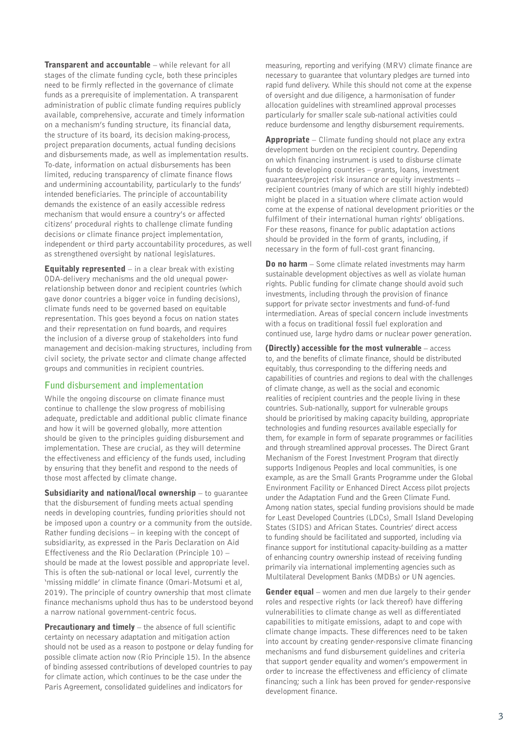**Transparent and accountable** – while relevant for all stages of the climate funding cycle, both these principles need to be firmly reflected in the governance of climate funds as a prerequisite of implementation. A transparent administration of public climate funding requires publicly available, comprehensive, accurate and timely information on a mechanism's funding structure, its financial data, the structure of its board, its decision making-process, project preparation documents, actual funding decisions and disbursements made, as well as implementation results. To-date, information on actual disbursements has been limited, reducing transparency of climate finance flows and undermining accountability, particularly to the funds' intended beneficiaries. The principle of accountability demands the existence of an easily accessible redress mechanism that would ensure a country's or affected citizens' procedural rights to challenge climate funding decisions or climate finance project implementation, independent or third party accountability procedures, as well as strengthened oversight by national legislatures.

**Equitably represented**  $-$  in a clear break with existing ODA-delivery mechanisms and the old unequal powerrelationship between donor and recipient countries (which gave donor countries a bigger voice in funding decisions), climate funds need to be governed based on equitable representation. This goes beyond a focus on nation states and their representation on fund boards, and requires the inclusion of a diverse group of stakeholders into fund management and decision-making structures, including from civil society, the private sector and climate change affected groups and communities in recipient countries.

#### **Fund disbursement and implementation**

While the ongoing discourse on climate finance must continue to challenge the slow progress of mobilising adequate, predictable and additional public climate finance and how it will be governed globally, more attention should be given to the principles guiding disbursement and implementation. These are crucial, as they will determine the effectiveness and efficiency of the funds used, including by ensuring that they benefit and respond to the needs of those most affected by climate change.

Subsidiarity and national/local ownership – to guarantee that the disbursement of funding meets actual spending needs in developing countries, funding priorities should not be imposed upon a country or a community from the outside. Rather funding decisions – in keeping with the concept of subsidiarity, as expressed in the Paris Declaration on Aid Effectiveness and the Rio Declaration (Principle 10) – should be made at the lowest possible and appropriate level. This is often the sub-national or local level, currently the 'missing middle' in climate finance (Omari-Motsumi et al, 2019). The principle of country ownership that most climate finance mechanisms uphold thus has to be understood beyond a narrow national government-centric focus.

Precautionary and timely – the absence of full scientific certainty on necessary adaptation and mitigation action should not be used as a reason to postpone or delay funding for possible climate action now (Rio Principle 15). In the absence of binding assessed contributions of developed countries to pay for climate action, which continues to be the case under the Paris Agreement, consolidated guidelines and indicators for

measuring, reporting and verifying (MRV) climate finance are necessary to guarantee that voluntary pledges are turned into rapid fund delivery. While this should not come at the expense of oversight and due diligence, a harmonisation of funder allocation guidelines with streamlined approval processes particularly for smaller scale sub-national activities could reduce burdensome and lengthy disbursement requirements.

**Appropriate** – Climate funding should not place any extra development burden on the recipient country. Depending on which financing instrument is used to disburse climate funds to developing countries – grants, loans, investment guarantees/project risk insurance or equity investments – recipient countries (many of which are still highly indebted) might be placed in a situation where climate action would come at the expense of national development priorities or the fulfilment of their international human rights' obligations. For these reasons, finance for public adaptation actions should be provided in the form of grants, including, if necessary in the form of full-cost grant financing.

**Do no harm** – Some climate related investments may harm sustainable development objectives as well as violate human rights. Public funding for climate change should avoid such investments, including through the provision of finance support for private sector investments and fund-of-fund intermediation. Areas of special concern include investments with a focus on traditional fossil fuel exploration and continued use, large hydro dams or nuclear power generation.

(Directly) accessible for the most vulnerable – access to, and the benefits of climate finance, should be distributed equitably, thus corresponding to the differing needs and capabilities of countries and regions to deal with the challenges of climate change, as well as the social and economic realities of recipient countries and the people living in these countries. Sub-nationally, support for vulnerable groups should be prioritised by making capacity building, appropriate technologies and funding resources available especially for them, for example in form of separate programmes or facilities and through streamlined approval processes. The Direct Grant Mechanism of the Forest Investment Program that directly supports Indigenous Peoples and local communities, is one example, as are the Small Grants Programme under the Global Environment Facility or Enhanced Direct Access pilot projects under the Adaptation Fund and the Green Climate Fund. Among nation states, special funding provisions should be made for Least Developed Countries (LDCs), Small Island Developing States (SIDS) and African States. Countries' direct access to funding should be facilitated and supported, including via finance support for institutional capacity-building as a matter of enhancing country ownership instead of receiving funding primarily via international implementing agencies such as Multilateral Development Banks (MDBs) or UN agencies.

**Gender equal** – women and men due largely to their gender roles and respective rights (or lack thereof) have differing vulnerabilities to climate change as well as differentiated capabilities to mitigate emissions, adapt to and cope with climate change impacts. These differences need to be taken into account by creating gender-responsive climate financing mechanisms and fund disbursement guidelines and criteria that support gender equality and women's empowerment in order to increase the effectiveness and efficiency of climate financing; such a link has been proved for gender-responsive development finance.